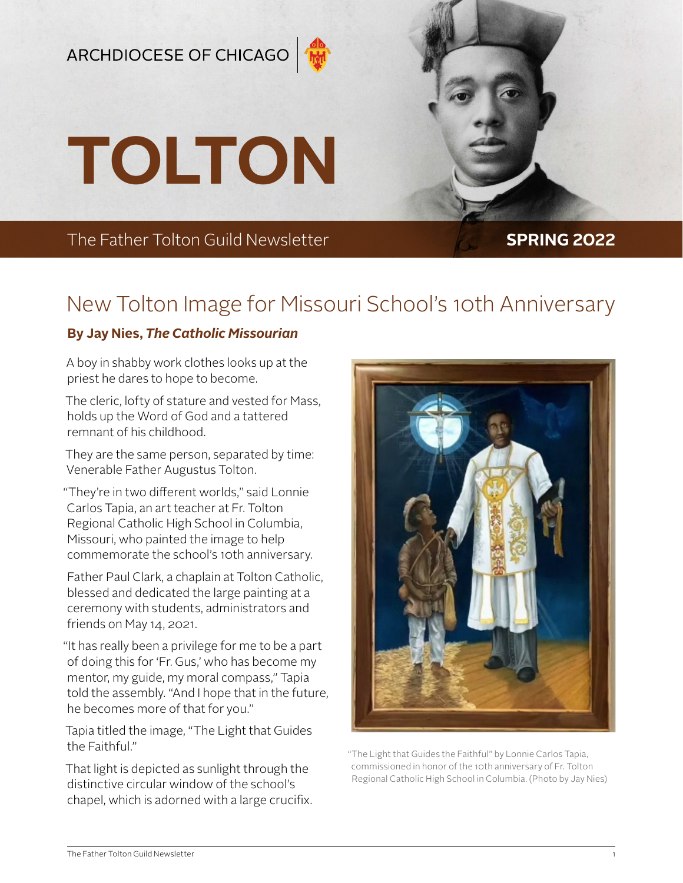## ARCHDIOCESE OF CHICAGO



**TOLTON**

The Father Tolton Guild Newsletter **SPRING 2022** 

# New Tolton Image for Missouri School's 10th Anniversary

### **By Jay Nies,** *The Catholic Missourian*

A boy in shabby work clothes looks up at the priest he dares to hope to become.

The cleric, lofty of stature and vested for Mass, holds up the Word of God and a tattered remnant of his childhood.

They are the same person, separated by time: Venerable Father Augustus Tolton.

"They're in two different worlds," said Lonnie Carlos Tapia, an art teacher at Fr. Tolton Regional Catholic High School in Columbia, Missouri, who painted the image to help commemorate the school's 10th anniversary.

Father Paul Clark, a chaplain at Tolton Catholic, blessed and dedicated the large painting at a ceremony with students, administrators and friends on May 14, 2021.

"It has really been a privilege for me to be a part of doing this for 'Fr. Gus,' who has become my mentor, my guide, my moral compass," Tapia told the assembly. "And I hope that in the future, he becomes more of that for you."

Tapia titled the image, "The Light that Guides the Faithful."

That light is depicted as sunlight through the distinctive circular window of the school's chapel, which is adorned with a large crucifix.



"The Light that Guides the Faithful" by Lonnie Carlos Tapia, commissioned in honor of the 10th anniversary of Fr. Tolton Regional Catholic High School in Columbia. (Photo by Jay Nies)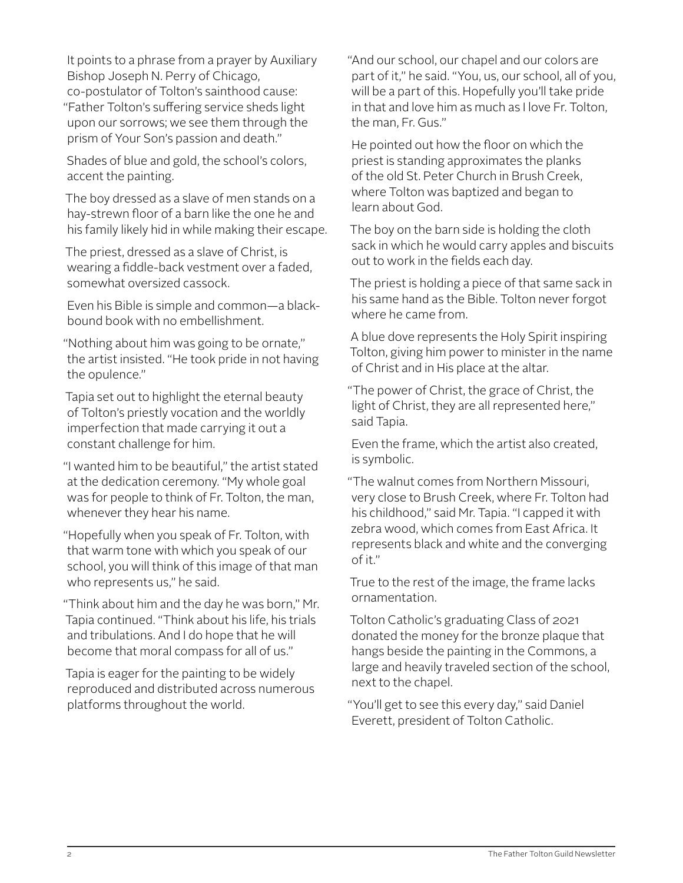It points to a phrase from a prayer by Auxiliary Bishop Joseph N. Perry of Chicago, co-postulator of Tolton's sainthood cause: "Father Tolton's suffering service sheds light upon our sorrows; we see them through the prism of Your Son's passion and death."

Shades of blue and gold, the school's colors, accent the painting.

The boy dressed as a slave of men stands on a hay-strewn floor of a barn like the one he and his family likely hid in while making their escape.

The priest, dressed as a slave of Christ, is wearing a fiddle-back vestment over a faded, somewhat oversized cassock.

Even his Bible is simple and common—a blackbound book with no embellishment.

"Nothing about him was going to be ornate," the artist insisted. "He took pride in not having the opulence."

Tapia set out to highlight the eternal beauty of Tolton's priestly vocation and the worldly imperfection that made carrying it out a constant challenge for him.

"I wanted him to be beautiful," the artist stated at the dedication ceremony. "My whole goal was for people to think of Fr. Tolton, the man, whenever they hear his name.

"Hopefully when you speak of Fr. Tolton, with that warm tone with which you speak of our school, you will think of this image of that man who represents us," he said.

"Think about him and the day he was born," Mr. Tapia continued. "Think about his life, his trials and tribulations. And I do hope that he will become that moral compass for all of us."

Tapia is eager for the painting to be widely reproduced and distributed across numerous platforms throughout the world.

"And our school, our chapel and our colors are part of it," he said. "You, us, our school, all of you, will be a part of this. Hopefully you'll take pride in that and love him as much as I love Fr. Tolton, the man, Fr. Gus."

He pointed out how the floor on which the priest is standing approximates the planks of the old St. Peter Church in Brush Creek, where Tolton was baptized and began to learn about God.

The boy on the barn side is holding the cloth sack in which he would carry apples and biscuits out to work in the fields each day.

The priest is holding a piece of that same sack in his same hand as the Bible. Tolton never forgot where he came from.

A blue dove represents the Holy Spirit inspiring Tolton, giving him power to minister in the name of Christ and in His place at the altar.

"The power of Christ, the grace of Christ, the light of Christ, they are all represented here," said Tapia.

Even the frame, which the artist also created, is symbolic.

"The walnut comes from Northern Missouri, very close to Brush Creek, where Fr. Tolton had his childhood," said Mr. Tapia. "I capped it with zebra wood, which comes from East Africa. It represents black and white and the converging of it."

True to the rest of the image, the frame lacks ornamentation.

Tolton Catholic's graduating Class of 2021 donated the money for the bronze plaque that hangs beside the painting in the Commons, a large and heavily traveled section of the school, next to the chapel.

"You'll get to see this every day," said Daniel Everett, president of Tolton Catholic.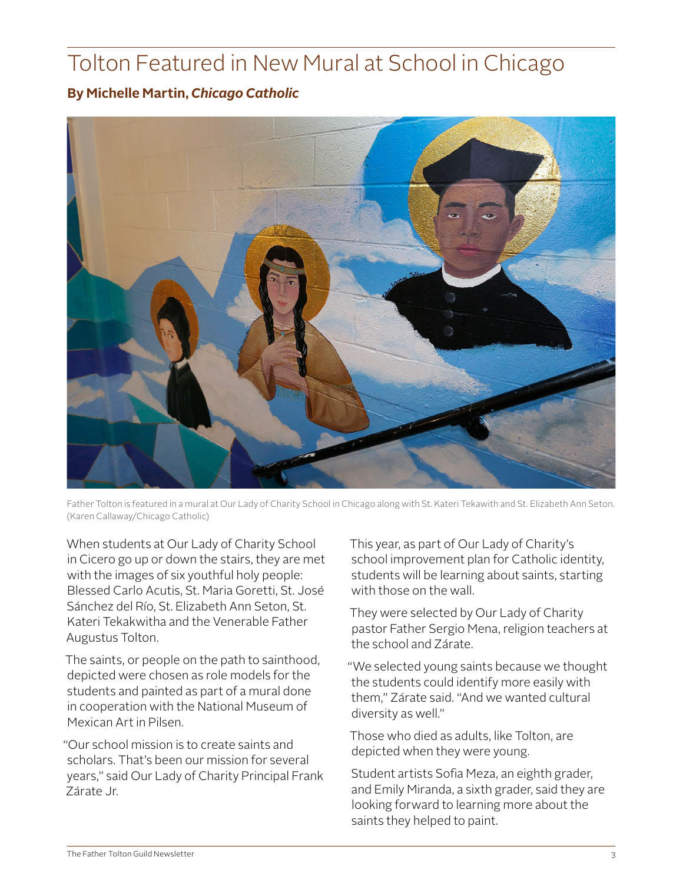# Tolton Featured in New Mural at School in Chicago

### **By Michelle Martin,** *Chicago Catholic*



Father Tolton is featured in a mural at Our Lady of Charity School in Chicago along with St. Kateri Tekawith and St. Elizabeth Ann Seton. (Karen Callaway/Chicago Catholic)

When students at Our Lady of Charity School in Cicero go up or down the stairs, they are met with the images of six youthful holy people: Blessed Carlo Acutis, St. Maria Goretti, St. José Sánchez del Río, St. Elizabeth Ann Seton, St. Kateri Tekakwitha and the Venerable Father Augustus Tolton.

The saints, or people on the path to sainthood, depicted were chosen as role models for the students and painted as part of a mural done in cooperation with the National Museum of Mexican Art in Pilsen.

"Our school mission is to create saints and scholars. That's been our mission for several years," said Our Lady of Charity Principal Frank Zárate Jr.

This year, as part of Our Lady of Charity's school improvement plan for Catholic identity, students will be learning about saints, starting with those on the wall.

They were selected by Our Lady of Charity pastor Father Sergio Mena, religion teachers at the school and Zárate.

"We selected young saints because we thought the students could identify more easily with them," Zárate said. "And we wanted cultural diversity as well."

Those who died as adults, like Tolton, are depicted when they were young.

Student artists Sofia Meza, an eighth grader, and Emily Miranda, a sixth grader, said they are looking forward to learning more about the saints they helped to paint.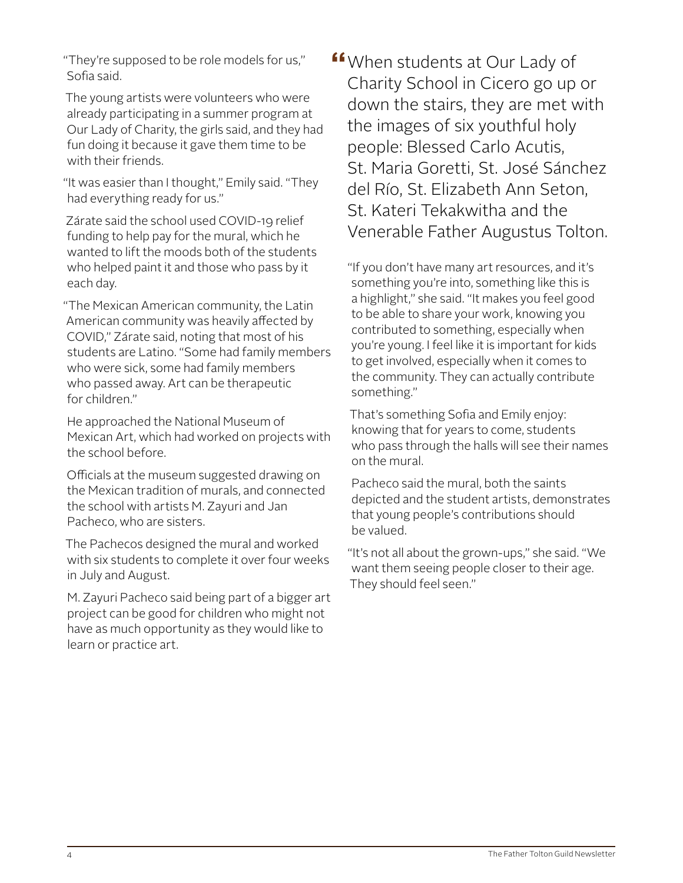"They're supposed to be role models for us," Sofia said.

The young artists were volunteers who were already participating in a summer program at Our Lady of Charity, the girls said, and they had fun doing it because it gave them time to be with their friends.

"It was easier than I thought," Emily said. "They had everything ready for us."

Zárate said the school used COVID-19 relief funding to help pay for the mural, which he wanted to lift the moods both of the students who helped paint it and those who pass by it each day.

"The Mexican American community, the Latin American community was heavily affected by COVID," Zárate said, noting that most of his students are Latino. "Some had family members who were sick, some had family members who passed away. Art can be therapeutic for children."

He approached the National Museum of Mexican Art, which had worked on projects with the school before.

Officials at the museum suggested drawing on the Mexican tradition of murals, and connected the school with artists M. Zayuri and Jan Pacheco, who are sisters.

The Pachecos designed the mural and worked with six students to complete it over four weeks in July and August.

M. Zayuri Pacheco said being part of a bigger art project can be good for children who might not have as much opportunity as they would like to learn or practice art.

**"**When students at Our Lady of Charity School in Cicero go up or down the stairs, they are met with the images of six youthful holy people: Blessed Carlo Acutis, St. Maria Goretti, St. José Sánchez del Río, St. Elizabeth Ann Seton, St. Kateri Tekakwitha and the Venerable Father Augustus Tolton.

"If you don't have many art resources, and it's something you're into, something like this is a highlight," she said. "It makes you feel good to be able to share your work, knowing you contributed to something, especially when you're young. I feel like it is important for kids to get involved, especially when it comes to the community. They can actually contribute something."

That's something Sofia and Emily enjoy: knowing that for years to come, students who pass through the halls will see their names on the mural.

Pacheco said the mural, both the saints depicted and the student artists, demonstrates that young people's contributions should be valued.

"It's not all about the grown-ups," she said. "We want them seeing people closer to their age. They should feel seen."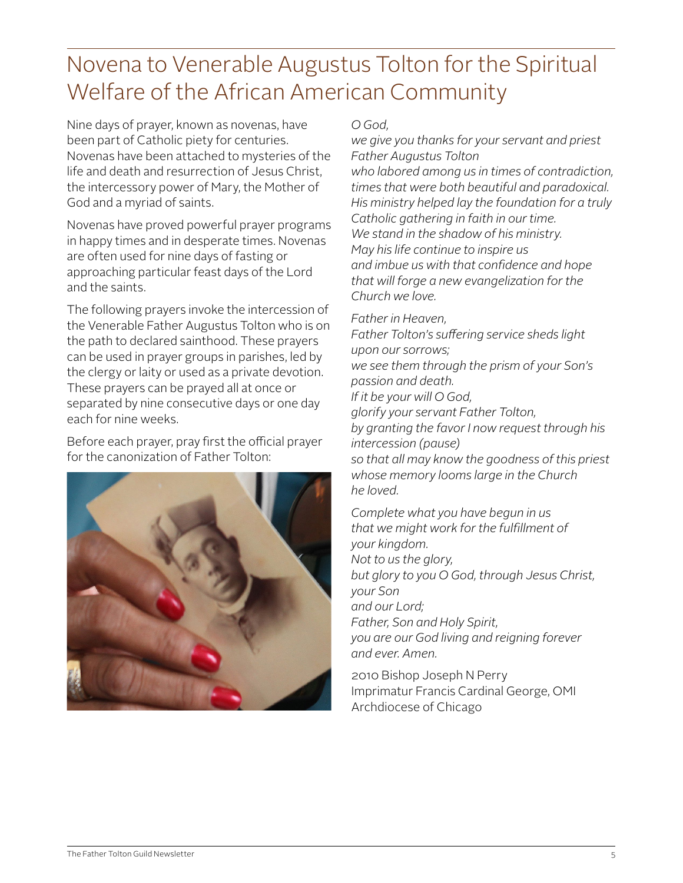# Novena to Venerable Augustus Tolton for the Spiritual Welfare of the African American Community

Nine days of prayer, known as novenas, have been part of Catholic piety for centuries. Novenas have been attached to mysteries of the life and death and resurrection of Jesus Christ, the intercessory power of Mary, the Mother of God and a myriad of saints.

Novenas have proved powerful prayer programs in happy times and in desperate times. Novenas are often used for nine days of fasting or approaching particular feast days of the Lord and the saints.

The following prayers invoke the intercession of the Venerable Father Augustus Tolton who is on the path to declared sainthood. These prayers can be used in prayer groups in parishes, led by the clergy or laity or used as a private devotion. These prayers can be prayed all at once or separated by nine consecutive days or one day each for nine weeks.

Before each prayer, pray first the official prayer for the canonization of Father Tolton:



### *O God,*

*we give you thanks for your servant and priest Father Augustus Tolton who labored among us in times of contradiction, times that were both beautiful and paradoxical. His ministry helped lay the foundation for a truly Catholic gathering in faith in our time. We stand in the shadow of his ministry. May his life continue to inspire us and imbue us with that confidence and hope that will forge a new evangelization for the Church we love.*

*Father in Heaven,*

*Father Tolton's suffering service sheds light upon our sorrows; we see them through the prism of your Son's passion and death. If it be your will O God, glorify your servant Father Tolton, by granting the favor I now request through his intercession (pause) so that all may know the goodness of this priest whose memory looms large in the Church he loved.*

*Complete what you have begun in us that we might work for the fulfillment of your kingdom. Not to us the glory, but glory to you O God, through Jesus Christ, your Son and our Lord; Father, Son and Holy Spirit, you are our God living and reigning forever and ever. Amen.*

2010 Bishop Joseph N Perry Imprimatur Francis Cardinal George, OMI Archdiocese of Chicago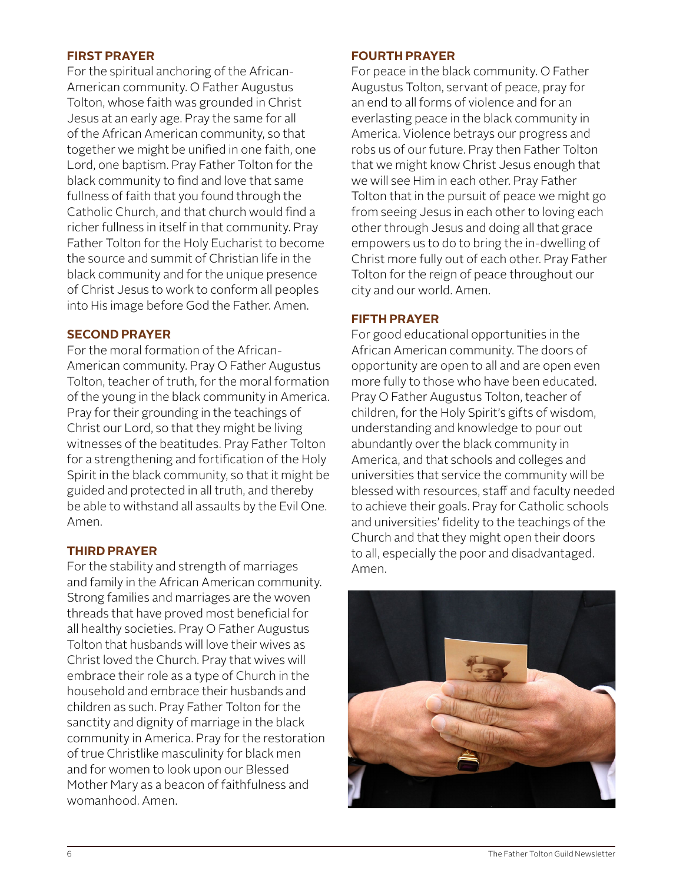#### **FIRST PRAYER**

For the spiritual anchoring of the African-American community. O Father Augustus Tolton, whose faith was grounded in Christ Jesus at an early age. Pray the same for all of the African American community, so that together we might be unified in one faith, one Lord, one baptism. Pray Father Tolton for the black community to find and love that same fullness of faith that you found through the Catholic Church, and that church would find a richer fullness in itself in that community. Pray Father Tolton for the Holy Eucharist to become the source and summit of Christian life in the black community and for the unique presence of Christ Jesus to work to conform all peoples into His image before God the Father. Amen.

#### **SECOND PRAYER**

For the moral formation of the African-American community. Pray O Father Augustus Tolton, teacher of truth, for the moral formation of the young in the black community in America. Pray for their grounding in the teachings of Christ our Lord, so that they might be living witnesses of the beatitudes. Pray Father Tolton for a strengthening and fortification of the Holy Spirit in the black community, so that it might be guided and protected in all truth, and thereby be able to withstand all assaults by the Evil One. Amen.

#### **THIRD PRAYER**

For the stability and strength of marriages and family in the African American community. Strong families and marriages are the woven threads that have proved most beneficial for all healthy societies. Pray O Father Augustus Tolton that husbands will love their wives as Christ loved the Church. Pray that wives will embrace their role as a type of Church in the household and embrace their husbands and children as such. Pray Father Tolton for the sanctity and dignity of marriage in the black community in America. Pray for the restoration of true Christlike masculinity for black men and for women to look upon our Blessed Mother Mary as a beacon of faithfulness and womanhood. Amen.

#### **FOURTH PRAYER**

For peace in the black community. O Father Augustus Tolton, servant of peace, pray for an end to all forms of violence and for an everlasting peace in the black community in America. Violence betrays our progress and robs us of our future. Pray then Father Tolton that we might know Christ Jesus enough that we will see Him in each other. Pray Father Tolton that in the pursuit of peace we might go from seeing Jesus in each other to loving each other through Jesus and doing all that grace empowers us to do to bring the in-dwelling of Christ more fully out of each other. Pray Father Tolton for the reign of peace throughout our city and our world. Amen.

#### **FIFTH PRAYER**

For good educational opportunities in the African American community. The doors of opportunity are open to all and are open even more fully to those who have been educated. Pray O Father Augustus Tolton, teacher of children, for the Holy Spirit's gifts of wisdom, understanding and knowledge to pour out abundantly over the black community in America, and that schools and colleges and universities that service the community will be blessed with resources, staff and faculty needed to achieve their goals. Pray for Catholic schools and universities' fidelity to the teachings of the Church and that they might open their doors to all, especially the poor and disadvantaged. Amen.

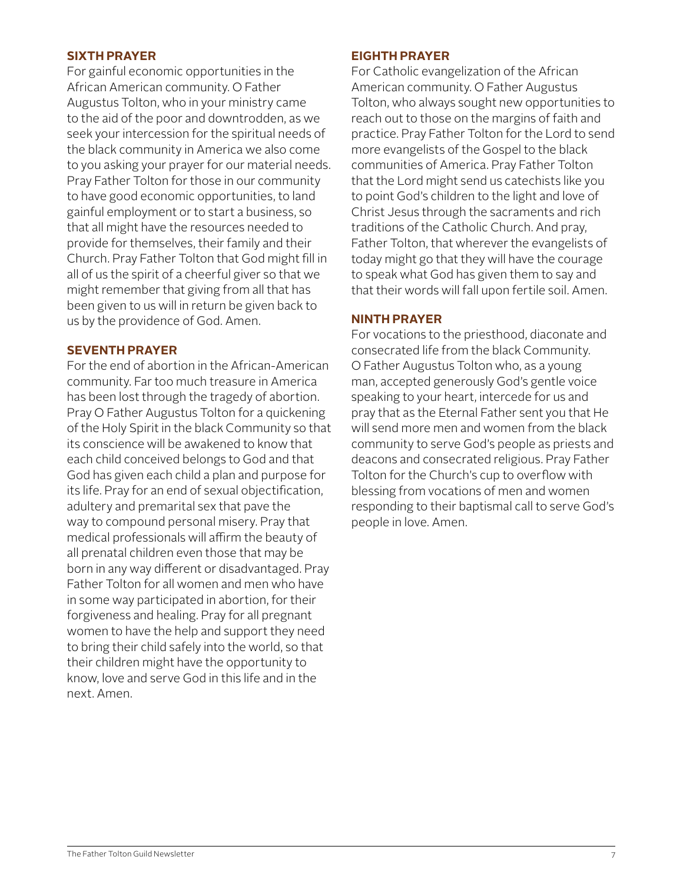#### **SIXTH PRAYER**

For gainful economic opportunities in the African American community. O Father Augustus Tolton, who in your ministry came to the aid of the poor and downtrodden, as we seek your intercession for the spiritual needs of the black community in America we also come to you asking your prayer for our material needs. Pray Father Tolton for those in our community to have good economic opportunities, to land gainful employment or to start a business, so that all might have the resources needed to provide for themselves, their family and their Church. Pray Father Tolton that God might fill in all of us the spirit of a cheerful giver so that we might remember that giving from all that has been given to us will in return be given back to us by the providence of God. Amen.

#### **SEVENTH PRAYER**

For the end of abortion in the African-American community. Far too much treasure in America has been lost through the tragedy of abortion. Pray O Father Augustus Tolton for a quickening of the Holy Spirit in the black Community so that its conscience will be awakened to know that each child conceived belongs to God and that God has given each child a plan and purpose for its life. Pray for an end of sexual objectification, adultery and premarital sex that pave the way to compound personal misery. Pray that medical professionals will affirm the beauty of all prenatal children even those that may be born in any way different or disadvantaged. Pray Father Tolton for all women and men who have in some way participated in abortion, for their forgiveness and healing. Pray for all pregnant women to have the help and support they need to bring their child safely into the world, so that their children might have the opportunity to know, love and serve God in this life and in the next. Amen.

#### **EIGHTH PRAYER**

For Catholic evangelization of the African American community. O Father Augustus Tolton, who always sought new opportunities to reach out to those on the margins of faith and practice. Pray Father Tolton for the Lord to send more evangelists of the Gospel to the black communities of America. Pray Father Tolton that the Lord might send us catechists like you to point God's children to the light and love of Christ Jesus through the sacraments and rich traditions of the Catholic Church. And pray, Father Tolton, that wherever the evangelists of today might go that they will have the courage to speak what God has given them to say and that their words will fall upon fertile soil. Amen.

#### **NINTH PRAYER**

For vocations to the priesthood, diaconate and consecrated life from the black Community. O Father Augustus Tolton who, as a young man, accepted generously God's gentle voice speaking to your heart, intercede for us and pray that as the Eternal Father sent you that He will send more men and women from the black community to serve God's people as priests and deacons and consecrated religious. Pray Father Tolton for the Church's cup to overflow with blessing from vocations of men and women responding to their baptismal call to serve God's people in love. Amen.